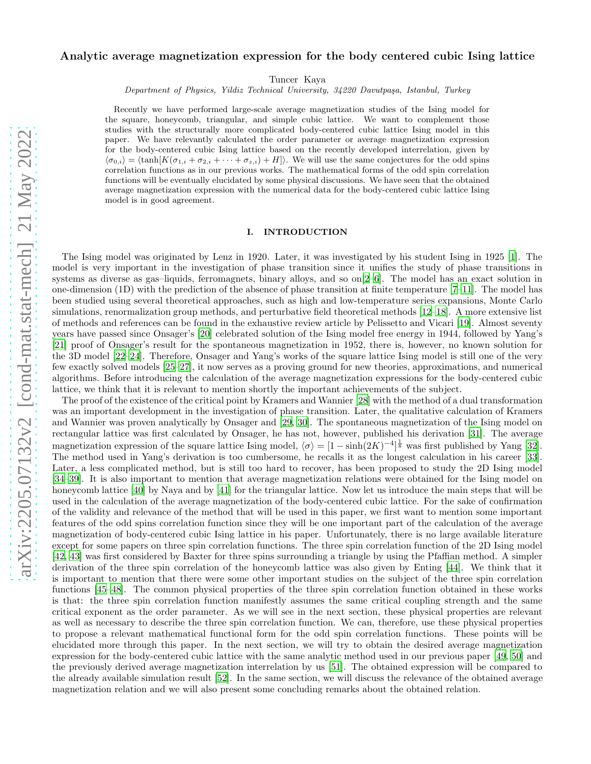## Analytic average magnetization expression for the body centered cubic Ising lattice

Tuncer Kaya

Department of Physics, Yildiz Technical University, 34220 Davutpaşa, Istanbul, Turkey

Recently we have performed large-scale average magnetization studies of the Ising model for the square, honeycomb, triangular, and simple cubic lattice. We want to complement those studies with the structurally more complicated body-centered cubic lattice Ising model in this paper. We have relevantly calculated the order parameter or average magnetization expression for the body-centered cubic Ising lattice based on the recently developed interrelation, given by  $\langle \sigma_{0,i} \rangle = \langle \tanh[K(\sigma_{1,i} + \sigma_{2,i} + \cdots + \sigma_{z,i}) + H] \rangle$ . We will use the same conjectures for the odd spins correlation functions as in our previous works. The mathematical forms of the odd spin correlation functions will be eventually elucidated by some physical discussions. We have seen that the obtained average magnetization expression with the numerical data for the body-centered cubic lattice Ising model is in good agreement.

## I. INTRODUCTION

The Ising model was originated by Lenz in 1920. Later, it was investigated by his student Ising in 1925 [\[1\]](#page-4-0). The model is very important in the investigation of phase transition since it unifies the study of phase transitions in systems as diverse as gas–liquids, ferromagnets, binary alloys, and so on[\[2](#page-4-1)[–6\]](#page-4-2). The model has an exact solution in one-dimension (1D) with the prediction of the absence of phase transition at finite temperature [\[7](#page-4-3)[–11\]](#page-4-4). The model has been studied using several theoretical approaches, such as high and low-temperature series expansions, Monte Carlo simulations, renormalization group methods, and perturbative field theoretical methods [\[12](#page-4-5)[–18](#page-4-6)]. A more extensive list of methods and references can be found in the exhaustive review article by Pelissetto and Vicari [\[19\]](#page-4-7). Almost seventy years have passed since Onsager's [\[20](#page-4-8)] celebrated solution of the Ising model free energy in 1944, followed by Yang's [\[21\]](#page-4-9) proof of Onsager's result for the spontaneous magnetization in 1952, there is, however, no known solution for the 3D model [\[22](#page-4-10)[–24\]](#page-4-11). Therefore, Onsager and Yang's works of the square lattice Ising model is still one of the very few exactly solved models [\[25](#page-4-12)[–27](#page-4-13)], it now serves as a proving ground for new theories, approximations, and numerical algorithms. Before introducing the calculation of the average magnetization expressions for the body-centered cubic lattice, we think that it is relevant to mention shortly the important achievements of the subject.

The proof of the existence of the critical point by Kramers and Wannier [\[28](#page-4-14)] with the method of a dual transformation was an important development in the investigation of phase transition. Later, the qualitative calculation of Kramers and Wannier was proven analytically by Onsager and [\[29,](#page-4-15) [30](#page-5-0)]. The spontaneous magnetization of the Ising model on rectangular lattice was first calculated by Onsager, he has not, however, published his derivation [\[31\]](#page-5-1). The average magnetization expression of the square lattice Ising model,  $\langle \sigma \rangle = [1 - \sinh(2K)^{-4}]^{\frac{1}{8}}$  was first published by Yang [\[32\]](#page-5-2). The method used in Yang's derivation is too cumbersome, he recalls it as the longest calculation in his career [\[33\]](#page-5-3). Later, a less complicated method, but is still too hard to recover, has been proposed to study the 2D Ising model [\[34](#page-5-4)[–39\]](#page-5-5). It is also important to mention that average magnetization relations were obtained for the Ising model on honeycomb lattice [\[40](#page-5-6)] by Naya and by [\[41](#page-5-7)] for the triangular lattice. Now let us introduce the main steps that will be used in the calculation of the average magnetization of the body-centered cubic lattice. For the sake of confirmation of the validity and relevance of the method that will be used in this paper, we first want to mention some important features of the odd spins correlation function since they will be one important part of the calculation of the average magnetization of body-centered cubic Ising lattice in his paper. Unfortunately, there is no large available literature except for some papers on three spin correlation functions. The three spin correlation function of the 2D Ising model [\[42,](#page-5-8) [43\]](#page-5-9) was first considered by Baxter for three spins surrounding a triangle by using the Pfaffian method. A simpler derivation of the three spin correlation of the honeycomb lattice was also given by Enting [\[44\]](#page-5-10). We think that it is important to mention that there were some other important studies on the subject of the three spin correlation functions [\[45](#page-5-11)[–48\]](#page-5-12). The common physical properties of the three spin correlation function obtained in these works is that: the three spin correlation function manifestly assumes the same critical coupling strength and the same critical exponent as the order parameter. As we will see in the next section, these physical properties are relevant as well as necessary to describe the three spin correlation function. We can, therefore, use these physical properties to propose a relevant mathematical functional form for the odd spin correlation functions. These points will be elucidated more through this paper. In the next section, we will try to obtain the desired average magnetization expression for the body-centered cubic lattice with the same analytic method used in our previous paper [\[49](#page-5-13), [50](#page-5-14)] and the previously derived average magnetization interrelation by us [\[51](#page-5-15)]. The obtained expression will be compared to the already available simulation result [\[52](#page-5-16)]. In the same section, we will discuss the relevance of the obtained average magnetization relation and we will also present some concluding remarks about the obtained relation.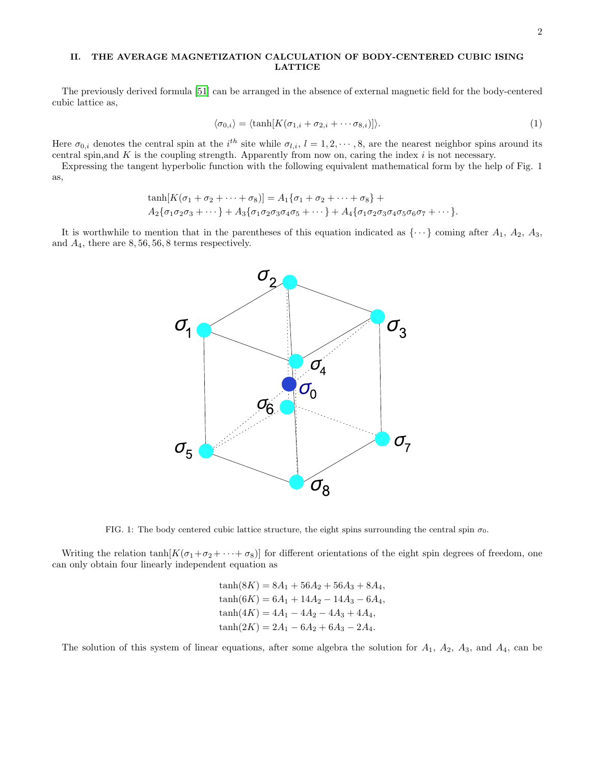## II. THE AVERAGE MAGNETIZATION CALCULATION OF BODY-CENTERED CUBIC ISING LATTICE

The previously derived formula [\[51\]](#page-5-15) can be arranged in the absence of external magnetic field for the body-centered cubic lattice as,

$$
\langle \sigma_{0,i} \rangle = \langle \tanh[K(\sigma_{1,i} + \sigma_{2,i} + \cdots \sigma_{8,i})] \rangle. \tag{1}
$$

Here  $\sigma_{0,i}$  denotes the central spin at the i<sup>th</sup> site while  $\sigma_{l,i}$ ,  $l = 1, 2, \cdots, 8$ , are the nearest neighbor spins around its central spin, and  $K$  is the coupling strength. Apparently from now on, caring the index  $i$  is not necessary.

Expressing the tangent hyperbolic function with the following equivalent mathematical form by the help of Fig. 1 as,

$$
\tanh[K(\sigma_1 + \sigma_2 + \cdots + \sigma_8)] = A_1 \{\sigma_1 + \sigma_2 + \cdots + \sigma_8\} + A_2 \{\sigma_1 \sigma_2 \sigma_3 + \cdots\} + A_3 \{\sigma_1 \sigma_2 \sigma_3 \sigma_4 \sigma_5 + \cdots\} + A_4 \{\sigma_1 \sigma_2 \sigma_3 \sigma_4 \sigma_5 \sigma_6 \sigma_7 + \cdots\}.
$$

It is worthwhile to mention that in the parentheses of this equation indicated as  $\{\cdots\}$  coming after  $A_1$ ,  $A_2$ ,  $A_3$ , and  $A_4$ , there are  $8, 56, 56, 8$  terms respectively.



FIG. 1: The body centered cubic lattice structure, the eight spins surrounding the central spin  $\sigma_0$ .

Writing the relation  $\tanh[K(\sigma_1+\sigma_2+\cdots+\sigma_8)]$  for different orientations of the eight spin degrees of freedom, one can only obtain four linearly independent equation as

$$
\tanh(8K) = 8A_1 + 56A_2 + 56A_3 + 8A_4,
$$
  
\n
$$
\tanh(6K) = 6A_1 + 14A_2 - 14A_3 - 6A_4,
$$
  
\n
$$
\tanh(4K) = 4A_1 - 4A_2 - 4A_3 + 4A_4,
$$
  
\n
$$
\tanh(2K) = 2A_1 - 6A_2 + 6A_3 - 2A_4.
$$

The solution of this system of linear equations, after some algebra the solution for  $A_1$ ,  $A_2$ ,  $A_3$ , and  $A_4$ , can be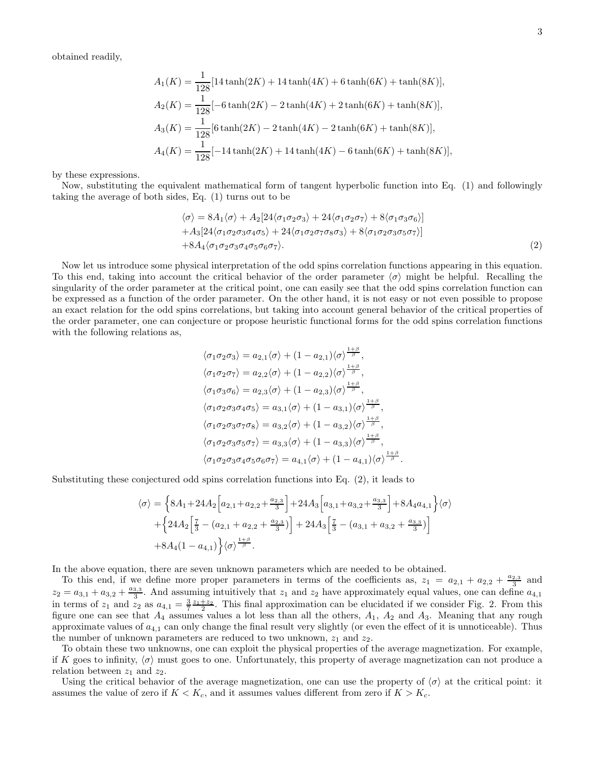obtained readily,

$$
A_1(K) = \frac{1}{128} [14 \tanh(2K) + 14 \tanh(4K) + 6 \tanh(6K) + \tanh(8K)],
$$
  
\n
$$
A_2(K) = \frac{1}{128} [-6 \tanh(2K) - 2 \tanh(4K) + 2 \tanh(6K) + \tanh(8K)],
$$
  
\n
$$
A_3(K) = \frac{1}{128} [6 \tanh(2K) - 2 \tanh(4K) - 2 \tanh(6K) + \tanh(8K)],
$$
  
\n
$$
A_4(K) = \frac{1}{128} [-14 \tanh(2K) + 14 \tanh(4K) - 6 \tanh(6K) + \tanh(8K)],
$$

by these expressions.

Now, substituting the equivalent mathematical form of tangent hyperbolic function into Eq. (1) and followingly taking the average of both sides, Eq. (1) turns out to be

$$
\langle \sigma \rangle = 8A_1 \langle \sigma \rangle + A_2 [24 \langle \sigma_1 \sigma_2 \sigma_3 \rangle + 24 \langle \sigma_1 \sigma_2 \sigma_7 \rangle + 8 \langle \sigma_1 \sigma_3 \sigma_6 \rangle] + A_3 [24 \langle \sigma_1 \sigma_2 \sigma_3 \sigma_4 \sigma_5 \rangle + 24 \langle \sigma_1 \sigma_2 \sigma_7 \sigma_8 \sigma_3 \rangle + 8 \langle \sigma_1 \sigma_2 \sigma_3 \sigma_5 \sigma_7 \rangle] + 8A_4 \langle \sigma_1 \sigma_2 \sigma_3 \sigma_4 \sigma_5 \sigma_6 \sigma_7 \rangle.
$$
 (2)

Now let us introduce some physical interpretation of the odd spins correlation functions appearing in this equation. To this end, taking into account the critical behavior of the order parameter  $\langle \sigma \rangle$  might be helpful. Recalling the singularity of the order parameter at the critical point, one can easily see that the odd spins correlation function can be expressed as a function of the order parameter. On the other hand, it is not easy or not even possible to propose an exact relation for the odd spins correlations, but taking into account general behavior of the critical properties of the order parameter, one can conjecture or propose heuristic functional forms for the odd spins correlation functions with the following relations as,

$$
\langle \sigma_1 \sigma_2 \sigma_3 \rangle = a_{2,1} \langle \sigma \rangle + (1 - a_{2,1}) \langle \sigma \rangle^{\frac{1+\beta}{\beta}},
$$
  
\n
$$
\langle \sigma_1 \sigma_2 \sigma_7 \rangle = a_{2,2} \langle \sigma \rangle + (1 - a_{2,2}) \langle \sigma \rangle^{\frac{1+\beta}{\beta}},
$$
  
\n
$$
\langle \sigma_1 \sigma_3 \sigma_6 \rangle = a_{2,3} \langle \sigma \rangle + (1 - a_{2,3}) \langle \sigma \rangle^{\frac{1+\beta}{\beta}},
$$
  
\n
$$
\langle \sigma_1 \sigma_2 \sigma_3 \sigma_4 \sigma_5 \rangle = a_{3,1} \langle \sigma \rangle + (1 - a_{3,1}) \langle \sigma \rangle^{\frac{1+\beta}{\beta}},
$$
  
\n
$$
\langle \sigma_1 \sigma_2 \sigma_3 \sigma_7 \sigma_8 \rangle = a_{3,2} \langle \sigma \rangle + (1 - a_{3,2}) \langle \sigma \rangle^{\frac{1+\beta}{\beta}},
$$
  
\n
$$
\langle \sigma_1 \sigma_2 \sigma_3 \sigma_5 \sigma_7 \rangle = a_{3,3} \langle \sigma \rangle + (1 - a_{3,3}) \langle \sigma \rangle^{\frac{1+\beta}{\beta}},
$$
  
\n
$$
\langle \sigma_1 \sigma_2 \sigma_3 \sigma_4 \sigma_5 \sigma_6 \sigma_7 \rangle = a_{4,1} \langle \sigma \rangle + (1 - a_{4,1}) \langle \sigma \rangle^{\frac{1+\beta}{\beta}}.
$$

Substituting these conjectured odd spins correlation functions into Eq. (2), it leads to

$$
\langle \sigma \rangle = \left\{ 8A_1 + 24A_2 \left[ a_{2,1} + a_{2,2} + \frac{a_{2,3}}{3} \right] + 24A_3 \left[ a_{3,1} + a_{3,2} + \frac{a_{3,3}}{3} \right] + 8A_4 a_{4,1} \right\} \langle \sigma \rangle
$$
  
+ 
$$
\left\{ 24A_2 \left[ \frac{7}{3} - (a_{2,1} + a_{2,2} + \frac{a_{2,3}}{3}) \right] + 24A_3 \left[ \frac{7}{3} - (a_{3,1} + a_{3,2} + \frac{a_{3,3}}{3}) \right] + 8A_4 (1 - a_{4,1}) \right\} \langle \sigma \rangle^{\frac{1+\beta}{\beta}}.
$$

In the above equation, there are seven unknown parameters which are needed to be obtained.

To this end, if we define more proper parameters in terms of the coefficients as,  $z_1 = a_{2,1} + a_{2,2} + \frac{a_{2,3}}{3}$  and  $z_2 = a_{3,1} + a_{3,2} + \frac{a_{3,3}}{3}$ . And assuming intuitively that  $z_1$  and  $z_2$  have approximately equal values, one can define  $a_{4,1}$ in terms of  $z_1$  and  $z_2$  as  $a_{4,1} = \frac{3}{7} \frac{z_1+z_2}{2}$ . This final approximation can be elucidated if we consider Fig. 2. From this figure one can see that  $A_4$  assumes values a lot less than all the others,  $A_1$ ,  $A_2$  and  $A_3$ . Meaning that any rough approximate values of  $a_{4,1}$  can only change the final result very slightly (or even the effect of it is unnoticeable). Thus the number of unknown parameters are reduced to two unknown,  $z_1$  and  $z_2$ .

To obtain these two unknowns, one can exploit the physical properties of the average magnetization. For example, if K goes to infinity,  $\langle \sigma \rangle$  must goes to one. Unfortunately, this property of average magnetization can not produce a relation between  $z_1$  and  $z_2$ .

Using the critical behavior of the average magnetization, one can use the property of  $\langle \sigma \rangle$  at the critical point: it assumes the value of zero if  $K < K_c$ , and it assumes values different from zero if  $K > K_c$ .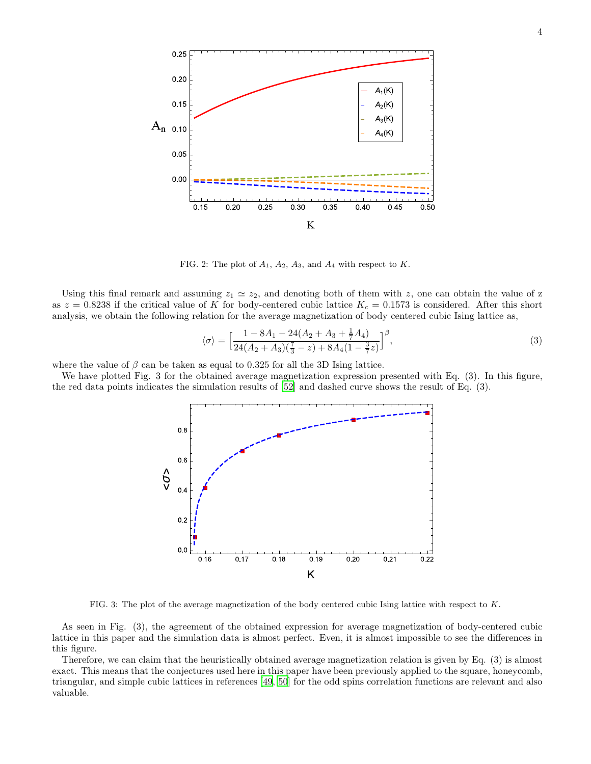

FIG. 2: The plot of  $A_1$ ,  $A_2$ ,  $A_3$ , and  $A_4$  with respect to K.

Using this final remark and assuming  $z_1 \simeq z_2$ , and denoting both of them with z, one can obtain the value of z as  $z = 0.8238$  if the critical value of K for body-centered cubic lattice  $K_c = 0.1573$  is considered. After this short analysis, we obtain the following relation for the average magnetization of body centered cubic Ising lattice as,

$$
\langle \sigma \rangle = \left[ \frac{1 - 8A_1 - 24(A_2 + A_3 + \frac{1}{7}A_4)}{24(A_2 + A_3)(\frac{7}{3} - z) + 8A_4(1 - \frac{3}{7}z)} \right]^\beta, \tag{3}
$$

where the value of  $\beta$  can be taken as equal to 0.325 for all the 3D Ising lattice.

We have plotted Fig. 3 for the obtained average magnetization expression presented with Eq. (3). In this figure, the red data points indicates the simulation results of [\[52\]](#page-5-16) and dashed curve shows the result of Eq. (3).



FIG. 3: The plot of the average magnetization of the body centered cubic Ising lattice with respect to K.

As seen in Fig. (3), the agreement of the obtained expression for average magnetization of body-centered cubic lattice in this paper and the simulation data is almost perfect. Even, it is almost impossible to see the differences in this figure.

Therefore, we can claim that the heuristically obtained average magnetization relation is given by Eq. (3) is almost exact. This means that the conjectures used here in this paper have been previously applied to the square, honeycomb, triangular, and simple cubic lattices in references [\[49,](#page-5-13) [50](#page-5-14)] for the odd spins correlation functions are relevant and also valuable.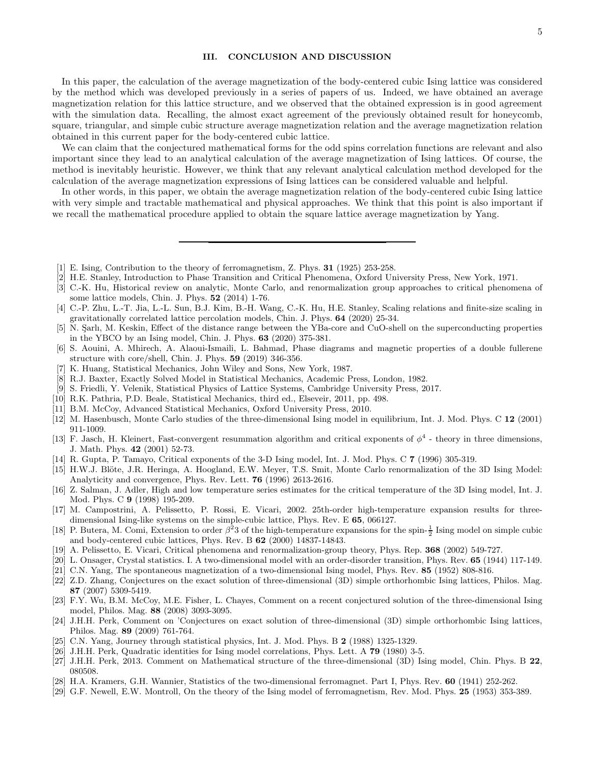## III. CONCLUSION AND DISCUSSION

In this paper, the calculation of the average magnetization of the body-centered cubic Ising lattice was considered by the method which was developed previously in a series of papers of us. Indeed, we have obtained an average magnetization relation for this lattice structure, and we observed that the obtained expression is in good agreement with the simulation data. Recalling, the almost exact agreement of the previously obtained result for honeycomb, square, triangular, and simple cubic structure average magnetization relation and the average magnetization relation obtained in this current paper for the body-centered cubic lattice.

We can claim that the conjectured mathematical forms for the odd spins correlation functions are relevant and also important since they lead to an analytical calculation of the average magnetization of Ising lattices. Of course, the method is inevitably heuristic. However, we think that any relevant analytical calculation method developed for the calculation of the average magnetization expressions of Ising lattices can be considered valuable and helpful.

In other words, in this paper, we obtain the average magnetization relation of the body-centered cubic Ising lattice with very simple and tractable mathematical and physical approaches. We think that this point is also important if we recall the mathematical procedure applied to obtain the square lattice average magnetization by Yang.

- <span id="page-4-0"></span>[1] E. Ising, Contribution to the theory of ferromagnetism, Z. Phys. 31 (1925) 253-258.
- <span id="page-4-1"></span>[2] H.E. Stanley, Introduction to Phase Transition and Critical Phenomena, Oxford University Press, New York, 1971.
- [3] C.-K. Hu, Historical review on analytic, Monte Carlo, and renormalization group approaches to critical phenomena of some lattice models, Chin. J. Phys. 52 (2014) 1-76.
- [4] C.-P. Zhu, L.-T. Jia, L.-L. Sun, B.J. Kim, B.-H. Wang, C.-K. Hu, H.E. Stanley, Scaling relations and finite-size scaling in gravitationally correlated lattice percolation models, Chin. J. Phys. 64 (2020) 25-34.
- [5] N. Sarlı, M. Keskin, Effect of the distance range between the YBa-core and CuO-shell on the superconducting properties in the YBCO by an Ising model, Chin. J. Phys. 63 (2020) 375-381.
- <span id="page-4-2"></span>[6] S. Aouini, A. Mhirech, A. Alaoui-Ismaili, L. Bahmad, Phase diagrams and magnetic properties of a double fullerene structure with core/shell, Chin. J. Phys. 59 (2019) 346-356.
- <span id="page-4-3"></span>[7] K. Huang, Statistical Mechanics, John Wiley and Sons, New York, 1987.
- [8] R.J. Baxter, Exactly Solved Model in Statistical Mechanics, Academic Press, London, 1982.
- [9] S. Friedli, Y. Velenik, Statistical Physics of Lattice Systems, Cambridge University Press, 2017.
- [10] R.K. Pathria, P.D. Beale, Statistical Mechanics, third ed., Elseveir, 2011, pp. 498.
- <span id="page-4-4"></span>[11] B.M. McCoy, Advanced Statistical Mechanics, Oxford University Press, 2010.
- <span id="page-4-5"></span>[12] M. Hasenbusch, Monte Carlo studies of the three-dimensional Ising model in equilibrium, Int. J. Mod. Phys. C 12 (2001) 911-1009.
- [13] F. Jasch, H. Kleinert, Fast-convergent resummation algorithm and critical exponents of  $\phi^4$  theory in three dimensions, J. Math. Phys. 42 (2001) 52-73.
- [14] R. Gupta, P. Tamayo, Critical exponents of the 3-D Ising model, Int. J. Mod. Phys. C 7 (1996) 305-319.
- [15] H.W.J. Blöte, J.R. Heringa, A. Hoogland, E.W. Meyer, T.S. Smit, Monte Carlo renormalization of the 3D Ising Model: Analyticity and convergence, Phys. Rev. Lett. 76 (1996) 2613-2616.
- [16] Z. Salman, J. Adler, High and low temperature series estimates for the critical temperature of the 3D Ising model, Int. J. Mod. Phys. C 9 (1998) 195-209.
- [17] M. Campostrini, A. Pelissetto, P. Rossi, E. Vicari, 2002. 25th-order high-temperature expansion results for threedimensional Ising-like systems on the simple-cubic lattice, Phys. Rev. E 65, 066127.
- <span id="page-4-6"></span>[18] P. Butera, M. Comi, Extension to order  $\beta^2$ 3 of the high-temperature expansions for the spin- $\frac{1}{2}$  Ising model on simple cubic and body-centered cubic lattices, Phys. Rev. B 62 (2000) 14837-14843.
- <span id="page-4-7"></span>[19] A. Pelissetto, E. Vicari, Critical phenomena and renormalization-group theory, Phys. Rep. 368 (2002) 549-727.
- <span id="page-4-8"></span>[20] L. Onsager, Crystal statistics. I. A two-dimensional model with an order-disorder transition, Phys. Rev. 65 (1944) 117-149.
- <span id="page-4-9"></span>[21] C.N. Yang, The spontaneous magnetization of a two-dimensional Ising model, Phys. Rev. 85 (1952) 808-816.
- <span id="page-4-10"></span>[22] Z.D. Zhang, Conjectures on the exact solution of three-dimensional (3D) simple orthorhombic Ising lattices, Philos. Mag. 87 (2007) 5309-5419.
- [23] F.Y. Wu, B.M. McCoy, M.E. Fisher, L. Chayes, Comment on a recent conjectured solution of the three-dimensional Ising model, Philos. Mag. 88 (2008) 3093-3095.
- <span id="page-4-11"></span>[24] J.H.H. Perk, Comment on 'Conjectures on exact solution of three-dimensional (3D) simple orthorhombic Ising lattices, Philos. Mag. 89 (2009) 761-764.
- <span id="page-4-12"></span>[25] C.N. Yang, Journey through statistical physics, Int. J. Mod. Phys. B 2 (1988) 1325-1329.
- [26] J.H.H. Perk, Quadratic identities for Ising model correlations, Phys. Lett. A 79 (1980) 3-5.
- <span id="page-4-13"></span>[27] J.H.H. Perk, 2013. Comment on Mathematical structure of the three-dimensional (3D) Ising model, Chin. Phys. B 22, 080508.
- <span id="page-4-14"></span>[28] H.A. Kramers, G.H. Wannier, Statistics of the two-dimensional ferromagnet. Part I, Phys. Rev. 60 (1941) 252-262.
- <span id="page-4-15"></span>[29] G.F. Newell, E.W. Montroll, On the theory of the Ising model of ferromagnetism, Rev. Mod. Phys. 25 (1953) 353-389.